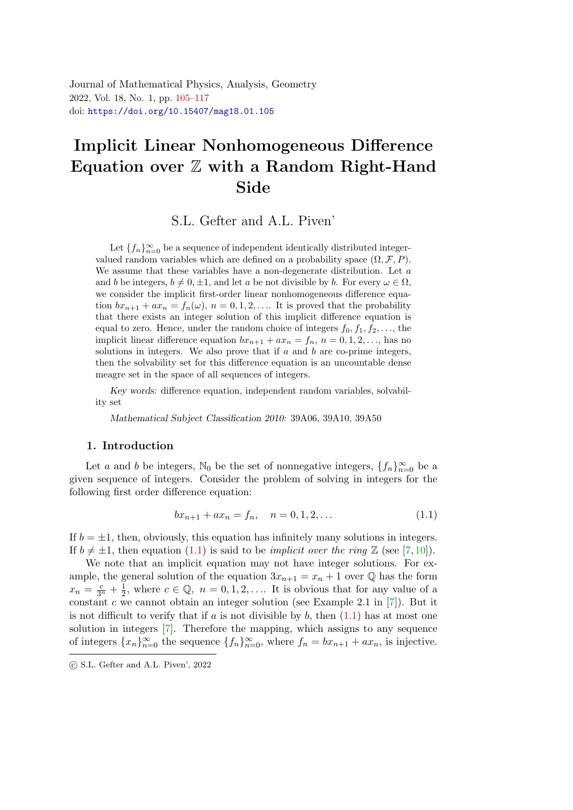<span id="page-0-0"></span>Journal of Mathematical Physics, Analysis, Geometry 2022, Vol. 18, No. 1, pp. [105](#page-0-0)[–117](#page-12-0) doi: <https://doi.org/10.15407/mag18.01.105>

# Implicit Linear Nonhomogeneous Difference Equation over  $\mathbb Z$  with a Random Right-Hand Sid[e](#page-0-1)

S.L. Gefter and A.L. Piven'

Let  $\{f_n\}_{n=0}^{\infty}$  be a sequence of independent identically distributed integervalued random variables which are defined on a probability space  $(\Omega, \mathcal{F}, P)$ . We assume that these variables have a non-degenerate distribution. Let  $a$ and b be integers,  $b \neq 0, \pm 1$ , and let a be not divisible by b. For every  $\omega \in \Omega$ , we consider the implicit first-order linear nonhomogeneous difference equation  $bx_{n+1} + ax_n = f_n(\omega)$ ,  $n = 0, 1, 2, \ldots$  It is proved that the probability that there exists an integer solution of this implicit difference equation is equal to zero. Hence, under the random choice of integers  $f_0, f_1, f_2, \ldots$ , the implicit linear difference equation  $bx_{n+1} + ax_n = f_n$ ,  $n = 0, 1, 2, \ldots$ , has no solutions in integers. We also prove that if  $a$  and  $b$  are co-prime integers, then the solvability set for this difference equation is an uncountable dense meagre set in the space of all sequences of integers.

Key words: difference equation, independent random variables, solvability set

Mathematical Subject Classification 2010: 39A06, 39A10, 39A50

#### 1. Introduction

Let a and b be integers, N<sub>0</sub> be the set of nonnegative integers,  $\{f_n\}_{n=0}^{\infty}$  be a given sequence of integers. Consider the problem of solving in integers for the following first order difference equation:

<span id="page-0-2"></span>
$$
bx_{n+1} + ax_n = f_n, \quad n = 0, 1, 2, \dots
$$
\n(1.1)

If  $b = \pm 1$ , then, obviously, this equation has infinitely many solutions in integers. If  $b \neq \pm 1$ , then equation [\(1.1\)](#page-0-2) is said to be *implicit over the ring*  $\mathbb{Z}$  (see [\[7,](#page-11-0)[10\]](#page-11-1)).

We note that an implicit equation may not have integer solutions. For example, the general solution of the equation  $3x_{n+1} = x_n + 1$  over  $\mathbb Q$  has the form  $x_n = \frac{c}{3^n} + \frac{1}{2}$  $\frac{1}{2}$ , where  $c \in \mathbb{Q}$ ,  $n = 0, 1, 2, \ldots$  It is obvious that for any value of a constant c we cannot obtain an integer solution (see Example 2.1 in  $[7]$ ). But it is not difficult to verify that if a is not divisible by  $b$ , then  $(1.1)$  has at most one solution in integers [\[7\]](#page-11-0). Therefore the mapping, which assigns to any sequence of integers  ${x_n}_{n=0}^{\infty}$  the sequence  ${f_n}_{n=0}^{\infty}$ , where  $f_n = bx_{n+1} + ax_n$ , is injective.

<span id="page-0-1"></span>c S.L. Gefter and A.L. Piven', 2022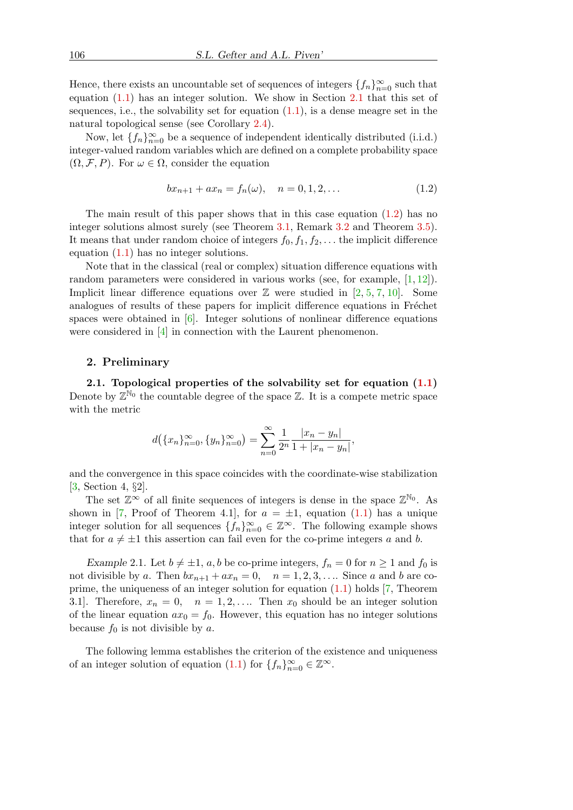Hence, there exists an uncountable set of sequences of integers  $\{f_n\}_{n=0}^{\infty}$  such that equation [\(1.1\)](#page-0-2) has an integer solution. We show in Section [2.1](#page-1-0) that this set of sequences, i.e., the solvability set for equation  $(1.1)$ , is a dense meagre set in the natural topological sense (see Corollary [2.4\)](#page-3-0).

Now, let  $\{f_n\}_{n=0}^{\infty}$  be a sequence of independent identically distributed (i.i.d.) integer-valued random variables which are defined on a complete probability space  $(\Omega, \mathcal{F}, P)$ . For  $\omega \in \Omega$ , consider the equation

<span id="page-1-1"></span>
$$
bx_{n+1} + ax_n = f_n(\omega), \quad n = 0, 1, 2, \dots
$$
\n(1.2)

The main result of this paper shows that in this case equation  $(1.2)$  has no integer solutions almost surely (see Theorem [3.1,](#page-5-0) Remark [3.2](#page-6-0) and Theorem [3.5\)](#page-7-0). It means that under random choice of integers  $f_0, f_1, f_2, \ldots$  the implicit difference equation  $(1.1)$  has no integer solutions.

Note that in the classical (real or complex) situation difference equations with random parameters were considered in various works (see, for example,  $[1, 12]$  $[1, 12]$  $[1, 12]$ ). Implicit linear difference equations over  $\mathbb Z$  were studied in [\[2,](#page-11-4) [5,](#page-11-5) [7,](#page-11-0) [10\]](#page-11-1). Some analogues of results of these papers for implicit difference equations in Fréchet spaces were obtained in [\[6\]](#page-11-6). Integer solutions of nonlinear difference equations were considered in [\[4\]](#page-11-7) in connection with the Laurent phenomenon.

### 2. Preliminary

<span id="page-1-0"></span>2.1. Topological properties of the solvability set for equation  $(1.1)$ Denote by  $\mathbb{Z}^{\mathbb{N}_0}$  the countable degree of the space  $\mathbb{Z}$ . It is a compete metric space with the metric

$$
d(\lbrace x_n \rbrace_{n=0}^{\infty}, \lbrace y_n \rbrace_{n=0}^{\infty} ) = \sum_{n=0}^{\infty} \frac{1}{2^n} \frac{|x_n - y_n|}{1 + |x_n - y_n|},
$$

and the convergence in this space coincides with the coordinate-wise stabilization [\[3,](#page-11-8) Section 4, §2].

The set  $\mathbb{Z}^{\infty}$  of all finite sequences of integers is dense in the space  $\mathbb{Z}^{\mathbb{N}_0}$ . As shown in [\[7,](#page-11-0) Proof of Theorem 4.1], for  $a = \pm 1$ , equation [\(1.1\)](#page-0-2) has a unique integer solution for all sequences  $\{f_n\}_{n=0}^{\infty} \in \mathbb{Z}^{\infty}$ . The following example shows that for  $a \neq \pm 1$  this assertion can fail even for the co-prime integers a and b.

Example 2.1. Let  $b \neq \pm 1$ , a, b be co-prime integers,  $f_n = 0$  for  $n \geq 1$  and  $f_0$  is not divisible by a. Then  $bx_{n+1} + ax_n = 0$ ,  $n = 1, 2, 3, \ldots$  Since a and b are coprime, the uniqueness of an integer solution for equation  $(1.1)$  holds  $[7,$  Theorem 3.1]. Therefore,  $x_n = 0$ ,  $n = 1, 2, \ldots$  Then  $x_0$  should be an integer solution of the linear equation  $ax_0 = f_0$ . However, this equation has no integer solutions because  $f_0$  is not divisible by a.

The following lemma establishes the criterion of the existence and uniqueness of an integer solution of equation [\(1.1\)](#page-0-2) for  $\{f_n\}_{n=0}^{\infty} \in \mathbb{Z}^{\infty}$ .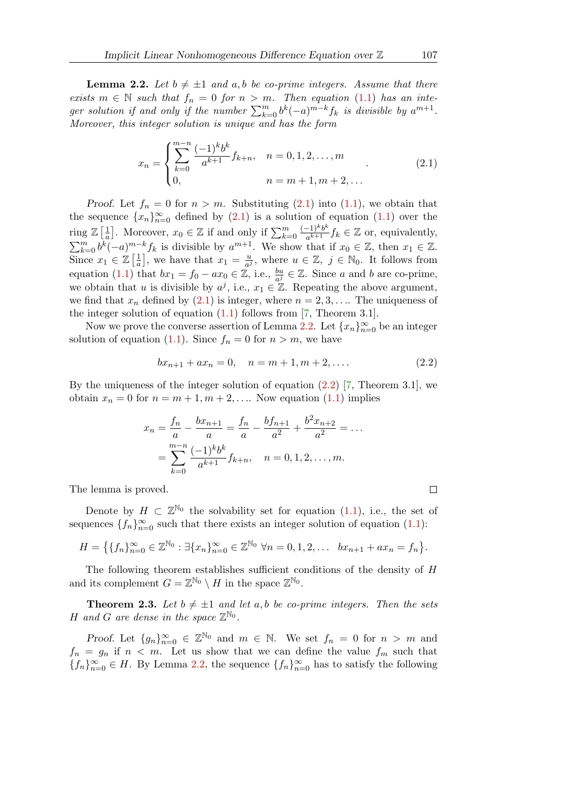<span id="page-2-1"></span>**Lemma 2.2.** Let  $b \neq \pm 1$  and a, b be co-prime integers. Assume that there exists  $m \in \mathbb{N}$  such that  $f_n = 0$  for  $n > m$ . Then equation [\(1.1\)](#page-0-2) has an integer solution if and only if the number  $\sum_{k=0}^{m} b^k(-a)^{m-k} f_k$  is divisible by  $a^{m+1}$ . Moreover, this integer solution is unique and has the form

<span id="page-2-0"></span>
$$
x_n = \begin{cases} \sum_{k=0}^{m-n} \frac{(-1)^k b^k}{a^{k+1}} f_{k+n}, & n = 0, 1, 2, \dots, m \\ 0, & n = m+1, m+2, \dots \end{cases}
$$
 (2.1)

Proof. Let  $f_n = 0$  for  $n > m$ . Substituting  $(2.1)$  into  $(1.1)$ , we obtain that the sequence  ${x_n}_{n=0}^{\infty}$  defined by [\(2.1\)](#page-2-0) is a solution of equation [\(1.1\)](#page-0-2) over the ring  $\mathbb{Z}\left[\frac{1}{a}\right]$  $\frac{1}{a}$ . Moreover,  $x_0 \in \mathbb{Z}$  if and only if  $\sum_{k=0}^{m}$  $(-1)^k b^k$  $\frac{(-1)^k b^k}{a^{k+1}} f_k \in \mathbb{Z}$  or, equivalently,  $\sum_{k=0}^m b^k(-a)^{m-k}f_k$  is divisible by  $a^{m+1}$ . We show that if  $x_0 \in \mathbb{Z}$ , then  $x_1 \in \mathbb{Z}$ . Since  $x_1 \in \mathbb{Z} \left[\frac{1}{a}\right]$  $\left[\frac{1}{a}\right]$ , we have that  $x_1 = \frac{u}{a^3}$  $\frac{u}{a^j}$ , where  $u \in \mathbb{Z}$ ,  $j \in \mathbb{N}_0$ . It follows from equation [\(1.1\)](#page-0-2) that  $bx_1 = f_0 - ax_0 \in \mathbb{Z}$ , i.e.,  $\frac{bu}{a^j} \in \mathbb{Z}$ . Since a and b are co-prime, we obtain that u is divisible by  $a^j$ , i.e.,  $x_1 \in \mathbb{Z}$ . Repeating the above argument, we find that  $x_n$  defined by [\(2.1\)](#page-2-0) is integer, where  $n = 2, 3, \ldots$  The uniqueness of the integer solution of equation  $(1.1)$  follows from  $[7,$  Theorem 3.1].

Now we prove the converse assertion of Lemma [2.2.](#page-2-1) Let  ${x_n}_{n=0}^{\infty}$  be an integer solution of equation [\(1.1\)](#page-0-2). Since  $f_n = 0$  for  $n > m$ , we have

<span id="page-2-2"></span>
$$
bx_{n+1} + ax_n = 0, \quad n = m+1, m+2, \dots
$$
 (2.2)

By the uniqueness of the integer solution of equation  $(2.2)$  [\[7,](#page-11-0) Theorem 3.1], we obtain  $x_n = 0$  for  $n = m + 1, m + 2, \ldots$  Now equation [\(1.1\)](#page-0-2) implies

$$
x_n = \frac{f_n}{a} - \frac{bx_{n+1}}{a} = \frac{f_n}{a} - \frac{bf_{n+1}}{a^2} + \frac{b^2x_{n+2}}{a^2} = \dots
$$

$$
= \sum_{k=0}^{m-n} \frac{(-1)^k b^k}{a^{k+1}} f_{k+n}, \quad n = 0, 1, 2, \dots, m.
$$

The lemma is proved.

Denote by  $H \subset \mathbb{Z}^{\mathbb{N}_0}$  the solvability set for equation [\(1.1\)](#page-0-2), i.e., the set of sequences  $\{f_n\}_{n=0}^{\infty}$  such that there exists an integer solution of equation [\(1.1\)](#page-0-2):

$$
H = \left\{ \{f_n\}_{n=0}^{\infty} \in \mathbb{Z}^{\mathbb{N}_0} : \exists \{x_n\}_{n=0}^{\infty} \in \mathbb{Z}^{\mathbb{N}_0} \ \forall n = 0, 1, 2, \dots \ b x_{n+1} + a x_n = f_n \right\}.
$$

The following theorem establishes sufficient conditions of the density of H and its complement  $G = \mathbb{Z}^{\mathbb{N}_0} \setminus H$  in the space  $\mathbb{Z}^{\mathbb{N}_0}$ .

<span id="page-2-3"></span>**Theorem 2.3.** Let  $b \neq \pm 1$  and let a, b be co-prime integers. Then the sets H and G are dense in the space  $\mathbb{Z}^{\mathbb{N}_0}$ .

Proof. Let  ${g_n}_{n=0}^{\infty} \in \mathbb{Z}^{\mathbb{N}_0}$  and  $m \in \mathbb{N}$ . We set  $f_n = 0$  for  $n > m$  and  $f_n = g_n$  if  $n < m$ . Let us show that we can define the value  $f_m$  such that  ${f_n}_{n=0}^\infty$  ∈ H. By Lemma [2.2,](#page-2-1) the sequence  ${f_n}_{n=0}^\infty$  has to satisfy the following

 $\Box$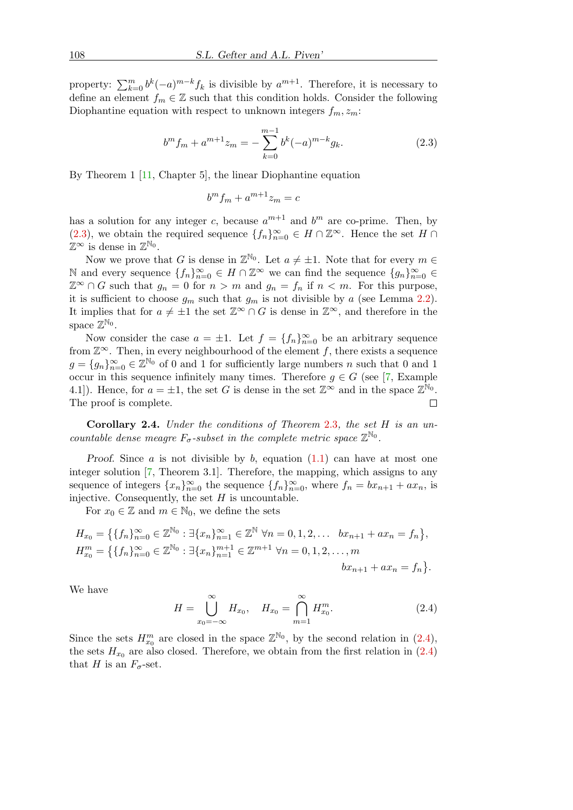property:  $\sum_{k=0}^{m} b^k(-a)^{m-k} f_k$  is divisible by  $a^{m+1}$ . Therefore, it is necessary to define an element  $f_m \in \mathbb{Z}$  such that this condition holds. Consider the following Diophantine equation with respect to unknown integers  $f_m, z_m$ :

<span id="page-3-1"></span>
$$
b^{m} f_{m} + a^{m+1} z_{m} = -\sum_{k=0}^{m-1} b^{k} (-a)^{m-k} g_{k}.
$$
 (2.3)

By Theorem 1 [\[11,](#page-11-9) Chapter 5], the linear Diophantine equation

$$
b^m f_m + a^{m+1} z_m = c
$$

has a solution for any integer c, because  $a^{m+1}$  and  $b^m$  are co-prime. Then, by [\(2.3\)](#page-3-1), we obtain the required sequence  ${f_n}_{n=0}^{\infty} \in H \cap \mathbb{Z}^{\infty}$ . Hence the set  $H \cap$  $\mathbb{Z}^{\infty}$  is dense in  $\mathbb{Z}^{\mathbb{N}_0}$ .

Now we prove that G is dense in  $\mathbb{Z}^{\mathbb{N}_0}$ . Let  $a \neq \pm 1$ . Note that for every  $m \in$ N and every sequence  ${f_n}_{n=0}^\infty$  ∈  $H \cap \mathbb{Z}^\infty$  we can find the sequence  ${g_n}_{n=0}^\infty$  ∈  $\mathbb{Z}^{\infty} \cap G$  such that  $g_n = 0$  for  $n > m$  and  $g_n = f_n$  if  $n < m$ . For this purpose, it is sufficient to choose  $g_m$  such that  $g_m$  is not divisible by a (see Lemma [2.2\)](#page-2-1). It implies that for  $a \neq \pm 1$  the set  $\mathbb{Z}^{\infty} \cap G$  is dense in  $\mathbb{Z}^{\infty}$ , and therefore in the space  $\mathbb{Z}^{\mathbb{N}_0}$ .

Now consider the case  $a = \pm 1$ . Let  $f = \{f_n\}_{n=0}^{\infty}$  be an arbitrary sequence from  $\mathbb{Z}^{\infty}$ . Then, in every neighbourhood of the element f, there exists a sequence  $g = \{g_n\}_{n=0}^{\infty} \in \mathbb{Z}^{\mathbb{N}_0}$  of 0 and 1 for sufficiently large numbers n such that 0 and 1 occur in this sequence infinitely many times. Therefore  $g \in G$  (see [\[7,](#page-11-0) Example 4.1]). Hence, for  $a = \pm 1$ , the set G is dense in the set  $\mathbb{Z}^{\infty}$  and in the space  $\mathbb{Z}^{\mathbb{N}_0}$ . The proof is complete.  $\Box$ 

<span id="page-3-0"></span>Corollary [2](#page-2-3).4. Under the conditions of Theorem 2.3, the set H is an uncountable dense meagre  $F_{\sigma}$ -subset in the complete metric space  $\mathbb{Z}^{\mathbb{N}_0}$ .

Proof. Since  $a$  is not divisible by  $b$ , equation  $(1.1)$  can have at most one integer solution [\[7,](#page-11-0) Theorem 3.1]. Therefore, the mapping, which assigns to any sequence of integers  ${x_n}_{n=0}^{\infty}$  the sequence  ${f_n}_{n=0}^{\infty}$ , where  $f_n = bx_{n+1} + ax_n$ , is injective. Consequently, the set  $H$  is uncountable.

For  $x_0 \in \mathbb{Z}$  and  $m \in \mathbb{N}_0$ , we define the sets

$$
H_{x_0} = \left\{ \{f_n\}_{n=0}^{\infty} \in \mathbb{Z}^{\mathbb{N}_0} : \exists \{x_n\}_{n=1}^{\infty} \in \mathbb{Z}^{\mathbb{N}} \ \forall n = 0, 1, 2, \dots \ bx_{n+1} + ax_n = f_n \right\},
$$
  
\n
$$
H_{x_0}^m = \left\{ \{f_n\}_{n=0}^{\infty} \in \mathbb{Z}^{\mathbb{N}_0} : \exists \{x_n\}_{n=1}^{m+1} \in \mathbb{Z}^{m+1} \ \forall n = 0, 1, 2, \dots, m \right\}
$$
  
\n
$$
bx_{n+1} + ax_n = f_n \right\}.
$$

We have

<span id="page-3-2"></span>
$$
H = \bigcup_{x_0 = -\infty}^{\infty} H_{x_0}, \quad H_{x_0} = \bigcap_{m=1}^{\infty} H_{x_0}^m.
$$
 (2.4)

Since the sets  $H_{x_0}^m$  are closed in the space  $\mathbb{Z}^{\mathbb{N}_0}$ , by the second relation in  $(2.4)$ , the sets  $H_{x_0}$  are also closed. Therefore, we obtain from the first relation in  $(2.4)$ that H is an  $F_{\sigma}$ -set.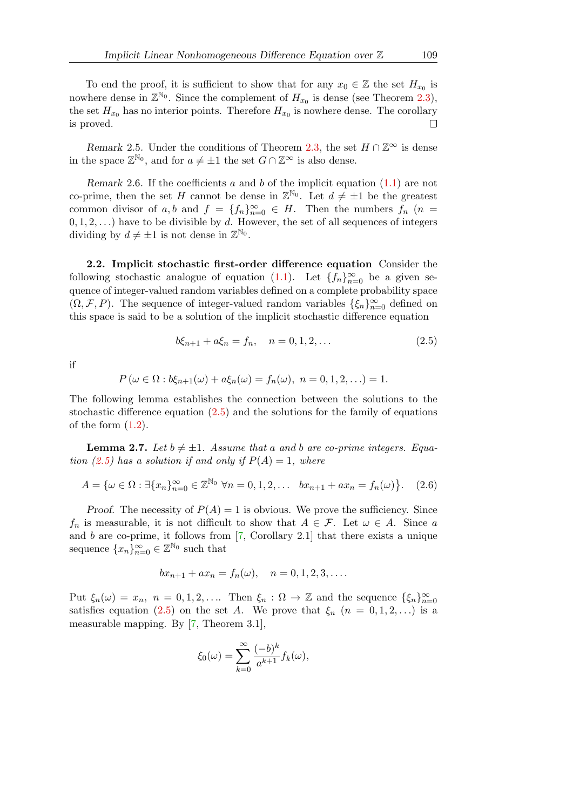To end the proof, it is sufficient to show that for any  $x_0 \in \mathbb{Z}$  the set  $H_{x_0}$  is nowhere dense in  $\mathbb{Z}^{\mathbb{N}_0}$ . Since the complement of  $H_{x_0}$  is dense (see Theorem [2.3\)](#page-2-3), the set  $H_{x_0}$  has no interior points. Therefore  $H_{x_0}$  is nowhere dense. The corollary is proved.  $\Box$ 

Remark 2.5. Under the conditions of Theorem [2.3,](#page-2-3) the set  $H \cap \mathbb{Z}^{\infty}$  is dense in the space  $\mathbb{Z}^{\mathbb{N}_0}$ , and for  $a \neq \pm 1$  the set  $G \cap \mathbb{Z}^{\infty}$  is also dense.

Remark 2.6. If the coefficients  $a$  and  $b$  of the implicit equation  $(1.1)$  are not co-prime, then the set H cannot be dense in  $\mathbb{Z}^{\mathbb{N}_0}$ . Let  $d \neq \pm 1$  be the greatest common divisor of a, b and  $f = \{f_n\}_{n=0}^{\infty} \in H$ . Then the numbers  $f_n$  (n =  $(0, 1, 2, \ldots)$  have to be divisible by d. However, the set of all sequences of integers dividing by  $d \neq \pm 1$  is not dense in  $\mathbb{Z}^{\mathbb{N}_0}$ .

2.2. Implicit stochastic first-order difference equation Consider the following stochastic analogue of equation [\(1.1\)](#page-0-2). Let  $\{f_n\}_{n=0}^{\infty}$  be a given sequence of integer-valued random variables defined on a complete probability space  $(\Omega, \mathcal{F}, P)$ . The sequence of integer-valued random variables  $\{\xi_n\}_{n=0}^{\infty}$  defined on this space is said to be a solution of the implicit stochastic difference equation

<span id="page-4-0"></span>
$$
b\xi_{n+1} + a\xi_n = f_n, \quad n = 0, 1, 2, \dots
$$
\n(2.5)

if

$$
P(\omega \in \Omega : b\xi_{n+1}(\omega) + a\xi_n(\omega) = f_n(\omega), \ n = 0, 1, 2, ...)=1.
$$

The following lemma establishes the connection between the solutions to the stochastic difference equation [\(2.5\)](#page-4-0) and the solutions for the family of equations of the form  $(1.2)$ .

<span id="page-4-2"></span>**Lemma 2.7.** Let  $b \neq \pm 1$ . Assume that a and b are co-prime integers. Equa-tion [\(2.5\)](#page-4-0) has a solution if and only if  $P(A) = 1$ , where

<span id="page-4-1"></span>
$$
A = \{ \omega \in \Omega : \exists \{x_n\}_{n=0}^{\infty} \in \mathbb{Z}^{\mathbb{N}_0} \ \forall n = 0, 1, 2, \dots \ \ bx_{n+1} + ax_n = f_n(\omega) \}.
$$
 (2.6)

Proof. The necessity of  $P(A) = 1$  is obvious. We prove the sufficiency. Since  $f_n$  is measurable, it is not difficult to show that  $A \in \mathcal{F}$ . Let  $\omega \in A$ . Since a and  $b$  are co-prime, it follows from  $[7,$  Corollary 2.1] that there exists a unique sequence  ${x_n}_{n=0}^{\infty} \in \mathbb{Z}^{\mathbb{N}_0}$  such that

$$
bx_{n+1} + ax_n = f_n(\omega), \quad n = 0, 1, 2, 3, \dots
$$

Put  $\xi_n(\omega) = x_n$ ,  $n = 0, 1, 2, \ldots$  Then  $\xi_n : \Omega \to \mathbb{Z}$  and the sequence  $\{\xi_n\}_{n=0}^{\infty}$ satisfies equation [\(2.5\)](#page-4-0) on the set A. We prove that  $\xi_n$   $(n = 0, 1, 2, ...)$  is a measurable mapping. By [\[7,](#page-11-0) Theorem 3.1],

$$
\xi_0(\omega) = \sum_{k=0}^{\infty} \frac{(-b)^k}{a^{k+1}} f_k(\omega),
$$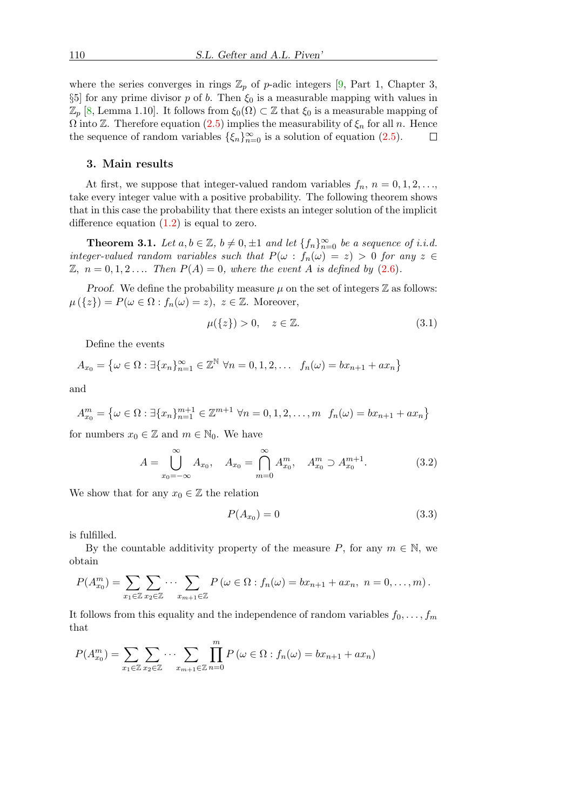where the series converges in rings  $\mathbb{Z}_p$  of p-adic integers [\[9,](#page-11-10) Part 1, Chapter 3,  $\S5$ ] for any prime divisor p of b. Then  $\xi_0$  is a measurable mapping with values in  $\mathbb{Z}_p$  [\[8,](#page-11-11) Lemma 1.10]. It follows from  $\xi_0(\Omega) \subset \mathbb{Z}$  that  $\xi_0$  is a measurable mapping of  $\Omega$  into  $\mathbb{Z}$ . Therefore equation [\(2.5\)](#page-4-0) implies the measurability of  $\xi_n$  for all n. Hence the sequence of random variables  $\{\xi_n\}_{n=0}^{\infty}$  is a solution of equation [\(2.5\)](#page-4-0).  $\Box$ 

#### 3. Main results

At first, we suppose that integer-valued random variables  $f_n$ ,  $n = 0, 1, 2, \ldots$ , take every integer value with a positive probability. The following theorem shows that in this case the probability that there exists an integer solution of the implicit difference equation  $(1.2)$  is equal to zero.

<span id="page-5-0"></span>**Theorem 3.1.** Let  $a, b \in \mathbb{Z}$ ,  $b \neq 0, \pm 1$  and let  $\{f_n\}_{n=0}^{\infty}$  be a sequence of i.i.d. integer-valued random variables such that  $P(\omega : f_n(\omega) = z) > 0$  for any  $z \in$  $\mathbb{Z}, n = 0, 1, 2, \ldots$  Then  $P(A) = 0$ , where the event A is defined by [\(2.6\)](#page-4-1).

*Proof.* We define the probability measure  $\mu$  on the set of integers  $\mathbb{Z}$  as follows:  $\mu(\{z\}) = P(\omega \in \Omega : f_n(\omega) = z), z \in \mathbb{Z}$ . Moreover,

<span id="page-5-1"></span>
$$
\mu({z}) > 0, \quad z \in \mathbb{Z}.\tag{3.1}
$$

Define the events

$$
A_{x_0} = \{ \omega \in \Omega : \exists \{x_n\}_{n=1}^{\infty} \in \mathbb{Z}^{\mathbb{N}} \ \forall n = 0, 1, 2, \dots \ f_n(\omega) = bx_{n+1} + ax_n \}
$$

and

$$
A_{x_0}^m = \{ \omega \in \Omega : \exists \{x_n\}_{n=1}^{m+1} \in \mathbb{Z}^{m+1} \ \forall n = 0, 1, 2, \dots, m \ f_n(\omega) = bx_{n+1} + ax_n \}
$$

for numbers  $x_0 \in \mathbb{Z}$  and  $m \in \mathbb{N}_0$ . We have

<span id="page-5-2"></span>
$$
A = \bigcup_{x_0 = -\infty}^{\infty} A_{x_0}, \quad A_{x_0} = \bigcap_{m=0}^{\infty} A_{x_0}^m, \quad A_{x_0}^m \supset A_{x_0}^{m+1}.
$$
 (3.2)

We show that for any  $x_0 \in \mathbb{Z}$  the relation

<span id="page-5-3"></span>
$$
P(A_{x_0}) = 0 \tag{3.3}
$$

is fulfilled.

By the countable additivity property of the measure P, for any  $m \in \mathbb{N}$ , we obtain

$$
P(A_{x_0}^m) = \sum_{x_1 \in \mathbb{Z}} \sum_{x_2 \in \mathbb{Z}} \cdots \sum_{x_{m+1} \in \mathbb{Z}} P(\omega \in \Omega : f_n(\omega) = bx_{n+1} + ax_n, n = 0, \ldots, m).
$$

It follows from this equality and the independence of random variables  $f_0, \ldots, f_m$ that

$$
P(A_{x_0}^m) = \sum_{x_1 \in \mathbb{Z}} \sum_{x_2 \in \mathbb{Z}} \cdots \sum_{x_{m+1} \in \mathbb{Z}} \prod_{n=0}^m P(\omega \in \Omega : f_n(\omega) = bx_{n+1} + ax_n)
$$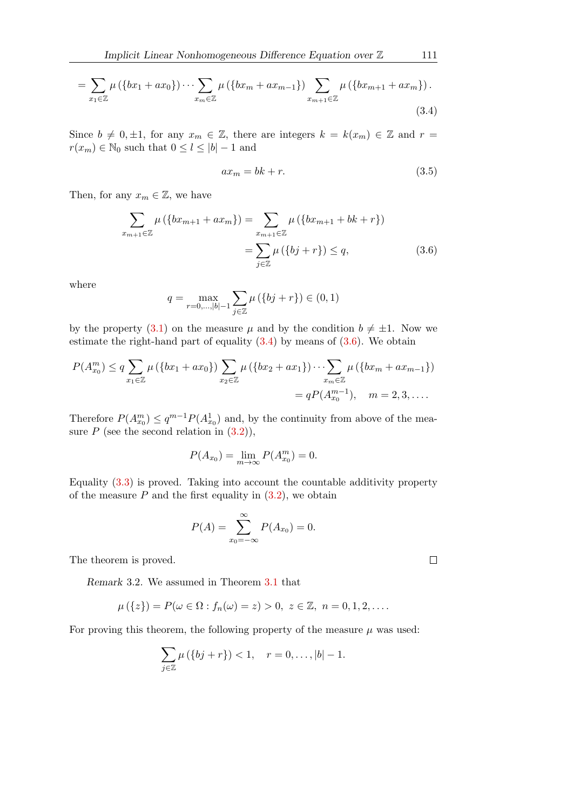$$
= \sum_{x_1 \in \mathbb{Z}} \mu\left(\{bx_1 + ax_0\}\right) \cdots \sum_{x_m \in \mathbb{Z}} \mu\left(\{bx_m + ax_{m-1}\}\right) \sum_{x_{m+1} \in \mathbb{Z}} \mu\left(\{bx_{m+1} + ax_m\}\right).
$$
\n(3.4)

Since  $b \neq 0, \pm 1$ , for any  $x_m \in \mathbb{Z}$ , there are integers  $k = k(x_m) \in \mathbb{Z}$  and  $r =$  $r(x_m) \in \mathbb{N}_0$  such that  $0 \leq l \leq |b| - 1$  and

<span id="page-6-1"></span>
$$
ax_m = bk + r.\tag{3.5}
$$

Then, for any  $x_m \in \mathbb{Z}$ , we have

$$
\sum_{x_{m+1}\in\mathbb{Z}} \mu\left(\{bx_{m+1} + ax_m\}\right) = \sum_{x_{m+1}\in\mathbb{Z}} \mu\left(\{bx_{m+1} + bk + r\}\right)
$$

$$
= \sum_{j\in\mathbb{Z}} \mu\left(\{bj + r\}\right) \le q,\tag{3.6}
$$

where

$$
q = \max_{r=0,\dots,|b|-1} \sum_{j \in \mathbb{Z}} \mu\left(\{bj+r\}\right) \in (0,1)
$$

by the property [\(3.1\)](#page-5-1) on the measure  $\mu$  and by the condition  $b \neq \pm 1$ . Now we estimate the right-hand part of equality  $(3.4)$  by means of  $(3.6)$ . We obtain

$$
P(A_{x_0}^m) \le q \sum_{x_1 \in \mathbb{Z}} \mu (\{bx_1 + ax_0\}) \sum_{x_2 \in \mathbb{Z}} \mu (\{bx_2 + ax_1\}) \cdots \sum_{x_m \in \mathbb{Z}} \mu (\{bx_m + ax_{m-1}\})
$$
  
=  $qP(A_{x_0}^{m-1}), \quad m = 2, 3, ....$ 

Therefore  $P(A_{x_0}^m) \le q^{m-1} P(A_{x_0}^1)$  and, by the continuity from above of the measure  $P$  (see the second relation in  $(3.2)$ ),

$$
P(A_{x_0}) = \lim_{m \to \infty} P(A_{x_0}^m) = 0.
$$

Equality [\(3.3\)](#page-5-3) is proved. Taking into account the countable additivity property of the measure  $P$  and the first equality in  $(3.2)$ , we obtain

$$
P(A) = \sum_{x_0 = -\infty}^{\infty} P(A_{x_0}) = 0.
$$

<span id="page-6-0"></span>The theorem is proved.

Remark 3.2. We assumed in Theorem [3.1](#page-5-0) that

$$
\mu(\{z\}) = P(\omega \in \Omega : f_n(\omega) = z) > 0, \ z \in \mathbb{Z}, \ n = 0, 1, 2, \dots
$$

For proving this theorem, the following property of the measure  $\mu$  was used:

$$
\sum_{j\in\mathbb{Z}}\mu(\{bj+r\}) < 1, \quad r = 0,\ldots, |b| - 1.
$$

<span id="page-6-2"></span>

 $\Box$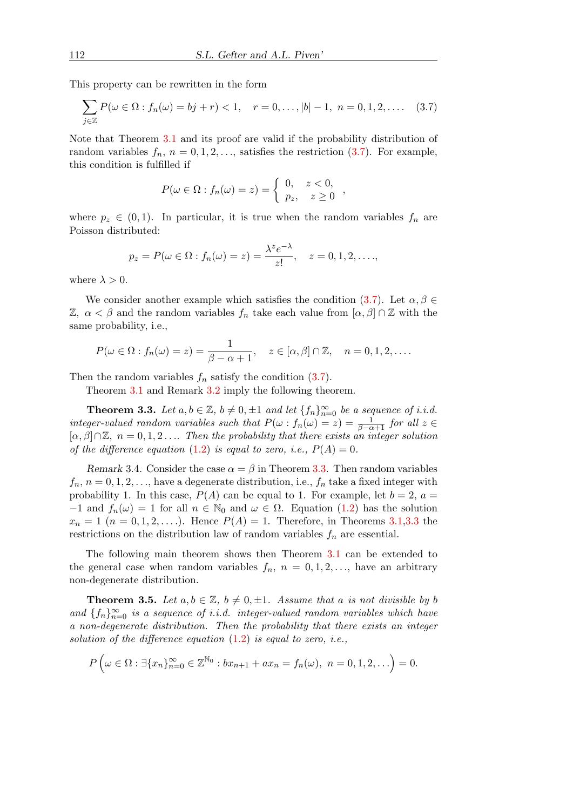This property can be rewritten in the form

<span id="page-7-1"></span>
$$
\sum_{j \in \mathbb{Z}} P(\omega \in \Omega : f_n(\omega) = bj + r) < 1, \quad r = 0, \dots, |b| - 1, \ n = 0, 1, 2, \dots \quad (3.7)
$$

Note that Theorem [3.1](#page-5-0) and its proof are valid if the probability distribution of random variables  $f_n$ ,  $n = 0, 1, 2, \ldots$ , satisfies the restriction  $(3.7)$ . For example, this condition is fulfilled if

$$
P(\omega \in \Omega : f_n(\omega) = z) = \begin{cases} 0, & z < 0, \\ p_z, & z \ge 0 \end{cases}
$$

where  $p_z \in (0,1)$ . In particular, it is true when the random variables  $f_n$  are Poisson distributed:

$$
p_z = P(\omega \in \Omega : f_n(\omega) = z) = \frac{\lambda^z e^{-\lambda}}{z!}, \quad z = 0, 1, 2, \dots,
$$

where  $\lambda > 0$ .

We consider another example which satisfies the condition [\(3.7\)](#page-7-1). Let  $\alpha, \beta \in$  $\mathbb{Z}, \ \alpha < \beta$  and the random variables  $f_n$  take each value from  $[\alpha, \beta] \cap \mathbb{Z}$  with the same probability, i.e.,

$$
P(\omega \in \Omega : f_n(\omega) = z) = \frac{1}{\beta - \alpha + 1}, \quad z \in [\alpha, \beta] \cap \mathbb{Z}, \quad n = 0, 1, 2, \dots
$$

Then the random variables  $f_n$  satisfy the condition [\(3.7\)](#page-7-1).

Theorem [3.1](#page-5-0) and Remark [3.2](#page-6-0) imply the following theorem.

<span id="page-7-2"></span>**Theorem 3.3.** Let  $a, b \in \mathbb{Z}$ ,  $b \neq 0, \pm 1$  and let  $\{f_n\}_{n=0}^{\infty}$  be a sequence of i.i.d. integer-valued random variables such that  $P(\omega : f_n(\omega) = z) = \frac{1}{\beta - \alpha + 1}$  for all  $z \in$  $[\alpha, \beta] \cap \mathbb{Z}, n = 0, 1, 2, \ldots$  Then the probability that there exists an integer solution of the difference equation [\(1.2\)](#page-1-1) is equal to zero, i.e.,  $P(A) = 0$ .

Remark 3.4. Consider the case  $\alpha = \beta$  in Theorem [3.3.](#page-7-2) Then random variables  $f_n$ ,  $n = 0, 1, 2, \ldots$ , have a degenerate distribution, i.e.,  $f_n$  take a fixed integer with probability 1. In this case,  $P(A)$  can be equal to 1. For example, let  $b = 2$ ,  $a =$  $-1$  and  $f_n(\omega) = 1$  for all  $n \in \mathbb{N}_0$  and  $\omega \in \Omega$ . Equation [\(1.2\)](#page-1-1) has the solution  $x_n = 1$   $(n = 0, 1, 2, \ldots)$ . Hence  $P(A) = 1$ . Therefore, in Theorems [3.1](#page-5-0)[,3.3](#page-7-2) the restrictions on the distribution law of random variables  $f_n$  are essential.

The following main theorem shows then Theorem [3.1](#page-5-0) can be extended to the general case when random variables  $f_n$ ,  $n = 0, 1, 2, \ldots$ , have an arbitrary non-degenerate distribution.

<span id="page-7-0"></span>**Theorem 3.5.** Let  $a, b \in \mathbb{Z}$ ,  $b \neq 0, \pm 1$ . Assume that a is not divisible by b and  $\{f_n\}_{n=0}^{\infty}$  is a sequence of i.i.d. integer-valued random variables which have a non-degenerate distribution. Then the probability that there exists an integer solution of the difference equation  $(1.2)$  is equal to zero, i.e.,

$$
P\left(\omega\in\Omega:\exists\{x_n\}_{n=0}^\infty\in\mathbb{Z}^{\mathbb{N}_0}:bx_{n+1}+ax_n=f_n(\omega),\ n=0,1,2,\ldots\right)=0.
$$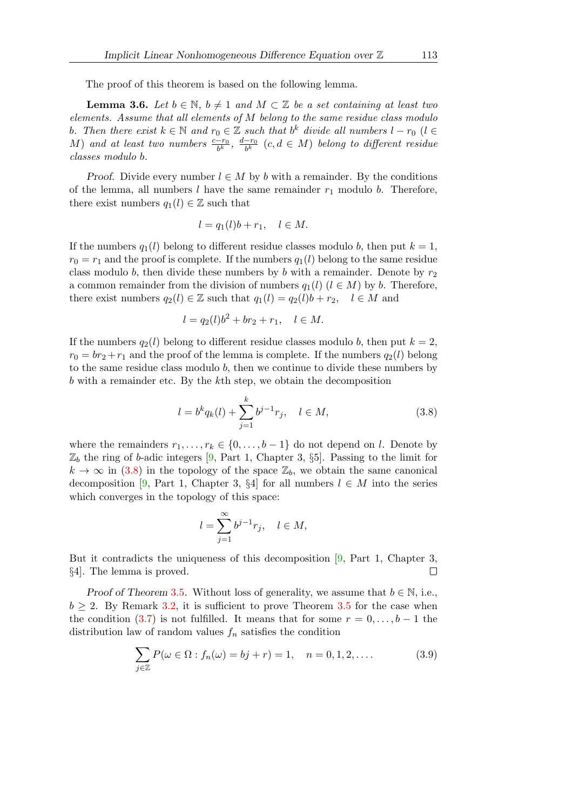The proof of this theorem is based on the following lemma.

<span id="page-8-2"></span>**Lemma 3.6.** Let  $b \in \mathbb{N}$ ,  $b \neq 1$  and  $M \subset \mathbb{Z}$  be a set containing at least two elements. Assume that all elements of M belong to the same residue class modulo b. Then there exist  $k \in \mathbb{N}$  and  $r_0 \in \mathbb{Z}$  such that  $b^k$  divide all numbers  $l - r_0$  ( $l \in \mathbb{Z}$ ) M) and at least two numbers  $\frac{c-r_0}{b^k}$ ,  $\frac{d-r_0}{b^k}$  $\frac{-r_0}{b^k}$   $(c,d\in M)$  belong to different residue classes modulo b.

*Proof.* Divide every number  $l \in M$  by b with a remainder. By the conditions of the lemma, all numbers l have the same remainder  $r_1$  modulo b. Therefore, there exist numbers  $q_1(l) \in \mathbb{Z}$  such that

$$
l = q_1(l)b + r_1, \quad l \in M.
$$

If the numbers  $q_1(l)$  belong to different residue classes modulo b, then put  $k = 1$ ,  $r_0 = r_1$  and the proof is complete. If the numbers  $q_1(l)$  belong to the same residue class modulo b, then divide these numbers by b with a remainder. Denote by  $r_2$ a common remainder from the division of numbers  $q_1(l)$  ( $l \in M$ ) by b. Therefore, there exist numbers  $q_2(l) \in \mathbb{Z}$  such that  $q_1(l) = q_2(l)b + r_2, \quad l \in M$  and

$$
l = q_2(l)b^2 + br_2 + r_1, \quad l \in M.
$$

If the numbers  $q_2(l)$  belong to different residue classes modulo b, then put  $k = 2$ ,  $r_0 = br_2 + r_1$  and the proof of the lemma is complete. If the numbers  $q_2(l)$  belong to the same residue class modulo  $b$ , then we continue to divide these numbers by b with a remainder etc. By the kth step, we obtain the decomposition

<span id="page-8-0"></span>
$$
l = b^{k} q_{k}(l) + \sum_{j=1}^{k} b^{j-1} r_{j}, \quad l \in M,
$$
\n(3.8)

where the remainders  $r_1, \ldots, r_k \in \{0, \ldots, b-1\}$  do not depend on l. Denote by  $\mathbb{Z}_b$  the ring of b-adic integers [\[9,](#page-11-10) Part 1, Chapter 3, §5]. Passing to the limit for  $k \to \infty$  in [\(3.8\)](#page-8-0) in the topology of the space  $\mathbb{Z}_b$ , we obtain the same canonical decomposition [\[9,](#page-11-10) Part 1, Chapter 3, §4] for all numbers  $l \in M$  into the series which converges in the topology of this space:

$$
l=\sum_{j=1}^\infty b^{j-1}r_j,\quad l\in M,
$$

But it contradicts the uniqueness of this decomposition [\[9,](#page-11-10) Part 1, Chapter 3, §4]. The lemma is proved.  $\Box$ 

Proof of Theorem [3](#page-7-0).5. Without loss of generality, we assume that  $b \in \mathbb{N}$ , i.e.,  $b > 2$ . By Remark [3.2,](#page-6-0) it is sufficient to prove Theorem [3.5](#page-7-0) for the case when the condition [\(3.7\)](#page-7-1) is not fulfilled. It means that for some  $r = 0, \ldots, b-1$  the distribution law of random values  $f_n$  satisfies the condition

<span id="page-8-1"></span>
$$
\sum_{j \in \mathbb{Z}} P(\omega \in \Omega : f_n(\omega) = bj + r) = 1, \quad n = 0, 1, 2, .... \tag{3.9}
$$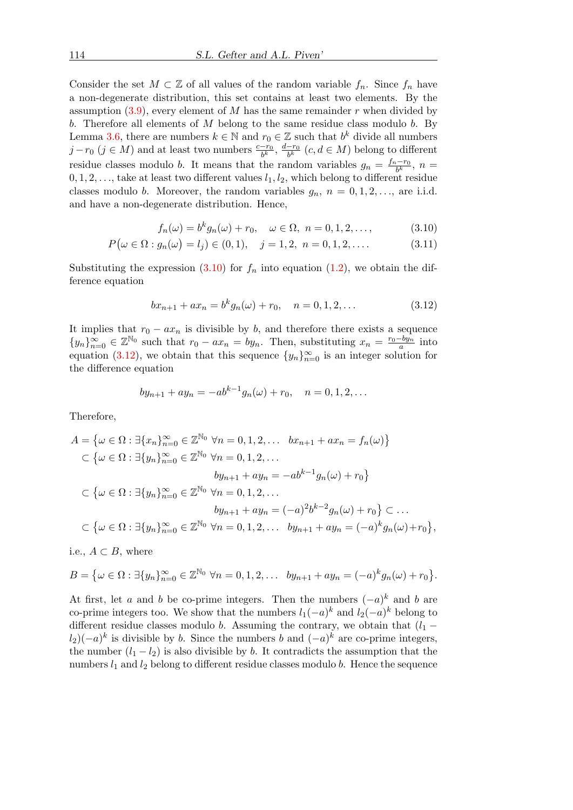Consider the set  $M \subset \mathbb{Z}$  of all values of the random variable  $f_n$ . Since  $f_n$  have a non-degenerate distribution, this set contains at least two elements. By the assumption  $(3.9)$ , every element of M has the same remainder r when divided by b. Therefore all elements of  $M$  belong to the same residue class modulo b. By Lemma [3.6,](#page-8-2) there are numbers  $k \in \mathbb{N}$  and  $r_0 \in \mathbb{Z}$  such that  $b^k$  divide all numbers  $j - r_0$  ( $j \in M$ ) and at least two numbers  $\frac{c - r_0}{b^k}$ ,  $\frac{d - r_0}{b^k}$  $\frac{-r_0}{b^k}$   $(c, d \in M)$  belong to different residue classes modulo b. It means that the random variables  $g_n = \frac{f_n - r_0}{b^k}$  $\frac{1-r_0}{b^k}, n =$  $0, 1, 2, \ldots$ , take at least two different values  $l_1, l_2$ , which belong to different residue classes modulo b. Moreover, the random variables  $g_n$ ,  $n = 0, 1, 2, \ldots$ , are i.i.d. and have a non-degenerate distribution. Hence,

<span id="page-9-0"></span>
$$
f_n(\omega) = b^k g_n(\omega) + r_0, \quad \omega \in \Omega, \ n = 0, 1, 2, \dots,
$$
 (3.10)

$$
P(\omega \in \Omega : g_n(\omega) = l_j) \in (0, 1), \quad j = 1, 2, \ n = 0, 1, 2, \dots
$$
\n(3.11)

Substituting the expression [\(3.10\)](#page-9-0) for  $f_n$  into equation [\(1.2\)](#page-1-1), we obtain the difference equation

<span id="page-9-1"></span>
$$
bx_{n+1} + ax_n = b^k g_n(\omega) + r_0, \quad n = 0, 1, 2, \dots
$$
\n(3.12)

It implies that  $r_0 - ax_n$  is divisible by b, and therefore there exists a sequence  ${y_n}_{n=0}^{\infty} \in \mathbb{Z}^{\mathbb{N}_0}$  such that  $r_0 - ax_n = by_n$ . Then, substituting  $x_n = \frac{r_0 - by_n}{a}$  $\frac{-by_n}{a}$  into equation [\(3.12\)](#page-9-1), we obtain that this sequence  $\{y_n\}_{n=0}^{\infty}$  is an integer solution for the difference equation

$$
by_{n+1} + ay_n = -ab^{k-1}g_n(\omega) + r_0, \quad n = 0, 1, 2, ...
$$

Therefore,

$$
A = \{ \omega \in \Omega : \exists \{x_n\}_{n=0}^{\infty} \in \mathbb{Z}^{\mathbb{N}_0} \ \forall n = 0, 1, 2, \dots \quad bx_{n+1} + ax_n = f_n(\omega) \}
$$
  

$$
\subset \{ \omega \in \Omega : \exists \{y_n\}_{n=0}^{\infty} \in \mathbb{Z}^{\mathbb{N}_0} \ \forall n = 0, 1, 2, \dots
$$
  

$$
by_{n+1} + ay_n = -ab^{k-1}g_n(\omega) + r_0 \}
$$
  

$$
\subset \{ \omega \in \Omega : \exists \{y_n\}_{n=0}^{\infty} \in \mathbb{Z}^{\mathbb{N}_0} \ \forall n = 0, 1, 2, \dots
$$
  

$$
by_{n+1} + ay_n = (-a)^2b^{k-2}g_n(\omega) + r_0 \} \subset \dots
$$
  

$$
\subset \{ \omega \in \Omega : \exists \{y_n\}_{n=0}^{\infty} \in \mathbb{Z}^{\mathbb{N}_0} \ \forall n = 0, 1, 2, \dots \quad by_{n+1} + ay_n = (-a)^k g_n(\omega) + r_0 \},
$$

i.e.,  $A \subset B$ , where

$$
B = \{ \omega \in \Omega : \exists \{y_n\}_{n=0}^{\infty} \in \mathbb{Z}^{\mathbb{N}_0} \ \forall n = 0, 1, 2, \dots \ by_{n+1} + ay_n = (-a)^k g_n(\omega) + r_0 \}.
$$

At first, let a and b be co-prime integers. Then the numbers  $(-a)^k$  and b are co-prime integers too. We show that the numbers  $l_1(-a)^k$  and  $l_2(-a)^k$  belong to different residue classes modulo b. Assuming the contrary, we obtain that  $(l_1 (l_2)(-a)^k$  is divisible by b. Since the numbers b and  $(-a)^k$  are co-prime integers, the number  $(l_1 - l_2)$  is also divisible by b. It contradicts the assumption that the numbers  $l_1$  and  $l_2$  belong to different residue classes modulo b. Hence the sequence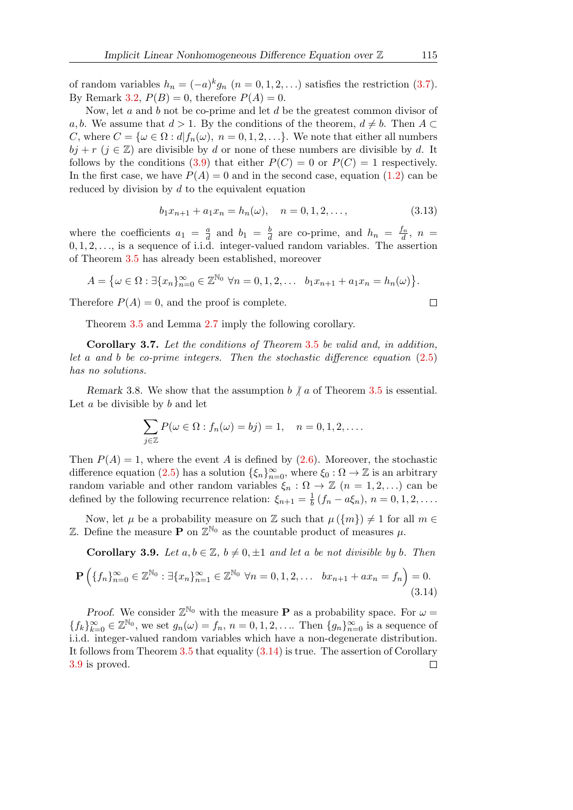of random variables  $h_n = (-a)^k g_n$   $(n = 0, 1, 2, ...)$  satisfies the restriction  $(3.7)$ . By Remark [3.2,](#page-6-0)  $P(B) = 0$ , therefore  $P(A) = 0$ .

Now, let  $a$  and  $b$  not be co-prime and let  $d$  be the greatest common divisor of a, b. We assume that  $d > 1$ . By the conditions of the theorem,  $d \neq b$ . Then  $A \subset$ C, where  $C = {\omega \in \Omega : d | f_n(\omega), n = 0, 1, 2, \ldots}$ . We note that either all numbers  $bj + r$  ( $j \in \mathbb{Z}$ ) are divisible by d or none of these numbers are divisible by d. It follows by the conditions [\(3.9\)](#page-8-1) that either  $P(C) = 0$  or  $P(C) = 1$  respectively. In the first case, we have  $P(A) = 0$  and in the second case, equation [\(1.2\)](#page-1-1) can be reduced by division by  $d$  to the equivalent equation

$$
b_1 x_{n+1} + a_1 x_n = h_n(\omega), \quad n = 0, 1, 2, \dots,
$$
\n(3.13)

where the coefficients  $a_1 = \frac{a}{d}$  $\frac{a}{d}$  and  $b_1 = \frac{b}{d}$  $\frac{b}{d}$  are co-prime, and  $h_n = \frac{f_n}{d}$  $\frac{t_n}{d}, n =$  $0, 1, 2, \ldots$ , is a sequence of i.i.d. integer-valued random variables. The assertion of Theorem [3.5](#page-7-0) has already been established, moreover

$$
A = \{ \omega \in \Omega : \exists \{x_n\}_{n=0}^{\infty} \in \mathbb{Z}^{\mathbb{N}_0} \ \forall n = 0, 1, 2, \dots \ b_1 x_{n+1} + a_1 x_n = h_n(\omega) \}.
$$

Therefore  $P(A) = 0$ , and the proof is complete.

Theorem [3.5](#page-7-0) and Lemma [2.7](#page-4-2) imply the following corollary.

Corollary 3.7. Let the conditions of Theorem [3](#page-7-0).5 be valid and, in addition, let a and b be co-prime integers. Then the stochastic difference equation [\(2.5\)](#page-4-0) has no solutions.

Remark 3.8. We show that the assumption  $b \nmid a$  of Theorem [3.5](#page-7-0) is essential. Let  $a$  be divisible by  $b$  and let

$$
\sum_{j\in\mathbb{Z}} P(\omega \in \Omega : f_n(\omega) = bj) = 1, \quad n = 0, 1, 2, \dots
$$

Then  $P(A) = 1$ , where the event A is defined by [\(2.6\)](#page-4-1). Moreover, the stochastic difference equation [\(2.5\)](#page-4-0) has a solution  $\{\xi_n\}_{n=0}^{\infty}$ , where  $\xi_0 : \Omega \to \mathbb{Z}$  is an arbitrary random variable and other random variables  $\xi_n$ :  $\Omega \to \mathbb{Z}$   $(n = 1, 2, ...)$  can be defined by the following recurrence relation:  $\xi_{n+1} = \frac{1}{b}$  $\frac{1}{b}(f_n - a\xi_n), n = 0, 1, 2, \ldots$ 

Now, let  $\mu$  be a probability measure on Z such that  $\mu({m}) \neq 1$  for all  $m \in$ Z. Define the measure **P** on  $\mathbb{Z}^{\mathbb{N}_0}$  as the countable product of measures  $\mu$ .

<span id="page-10-1"></span>Corollary 3.9. Let  $a, b \in \mathbb{Z}$ ,  $b \neq 0, \pm 1$  and let a be not divisible by b. Then

<span id="page-10-0"></span>
$$
\mathbf{P}\left(\{f_n\}_{n=0}^{\infty} \in \mathbb{Z}^{\mathbb{N}_0} : \exists \{x_n\}_{n=1}^{\infty} \in \mathbb{Z}^{\mathbb{N}_0} \ \forall n = 0, 1, 2, \dots \ b x_{n+1} + a x_n = f_n\right) = 0. \tag{3.14}
$$

Proof. We consider  $\mathbb{Z}^{\mathbb{N}_0}$  with the measure **P** as a probability space. For  $\omega =$  ${f_k}_{k=0}^{\infty} \in \mathbb{Z}^{\mathbb{N}_0}$ , we set  $g_n(\omega) = f_n$ ,  $n = 0, 1, 2, \ldots$  Then  ${g_n}_{n=0}^{\infty}$  is a sequence of i.i.d. integer-valued random variables which have a non-degenerate distribution. It follows from Theorem [3.5](#page-7-0) that equality [\(3.14\)](#page-10-0) is true. The assertion of Corollary [3.9](#page-10-1) is proved. $\Box$ 

 $\Box$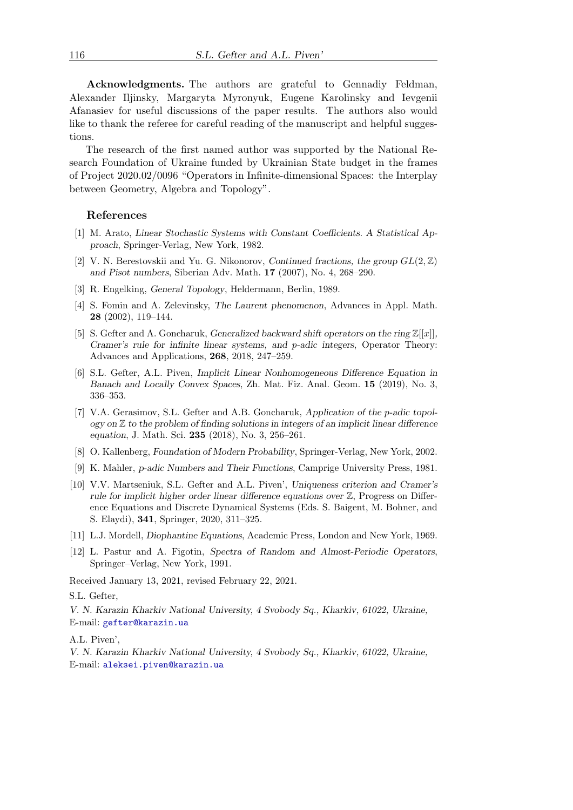Acknowledgments. The authors are grateful to Gennadiy Feldman, Alexander Iljinsky, Margaryta Myronyuk, Eugene Karolinsky and Ievgenii Afanasiev for useful discussions of the paper results. The authors also would like to thank the referee for careful reading of the manuscript and helpful suggestions.

The research of the first named author was supported by the National Research Foundation of Ukraine funded by Ukrainian State budget in the frames of Project 2020.02/0096 "Operators in Infinite-dimensional Spaces: the Interplay between Geometry, Algebra and Topology".

#### References

- <span id="page-11-2"></span>[1] M. Arato, Linear Stochastic Systems with Constant Coefficients. A Statistical Approach, Springer-Verlag, New York, 1982.
- <span id="page-11-4"></span>[2] V. N. Berestovskii and Yu. G. Nikonorov, Continued fractions, the group  $GL(2,\mathbb{Z})$ and Pisot numbers, Siberian Adv. Math. 17 (2007), No. 4, 268–290.
- <span id="page-11-8"></span>[3] R. Engelking, General Topology, Heldermann, Berlin, 1989.
- <span id="page-11-7"></span>[4] S. Fomin and A. Zelevinsky, The Laurent phenomenon, Advances in Appl. Math. 28 (2002), 119–144.
- <span id="page-11-5"></span>[5] S. Gefter and A. Goncharuk, Generalized backward shift operators on the ring  $\mathbb{Z}[[x]]$ , Cramer's rule for infinite linear systems, and p-adic integers, Operator Theory: Advances and Applications, 268, 2018, 247–259.
- <span id="page-11-6"></span>[6] S.L. Gefter, A.L. Piven, Implicit Linear Nonhomogeneous Difference Equation in Banach and Locally Convex Spaces, Zh. Mat. Fiz. Anal. Geom. 15 (2019), No. 3, 336–353.
- <span id="page-11-0"></span>[7] V.A. Gerasimov, S.L. Gefter and A.B. Goncharuk, Application of the p-adic topology on  $\mathbb Z$  to the problem of finding solutions in integers of an implicit linear difference equation, J. Math. Sci. 235 (2018), No. 3, 256–261.
- <span id="page-11-11"></span>[8] O. Kallenberg, Foundation of Modern Probability, Springer-Verlag, New York, 2002.
- <span id="page-11-10"></span>[9] K. Mahler, p-adic Numbers and Their Functions, Camprige University Press, 1981.
- <span id="page-11-1"></span>[10] V.V. Martseniuk, S.L. Gefter and A.L. Piven', Uniqueness criterion and Cramer's rule for implicit higher order linear difference equations over Z, Progress on Difference Equations and Discrete Dynamical Systems (Eds. S. Baigent, M. Bohner, and S. Elaydi), 341, Springer, 2020, 311–325.
- <span id="page-11-9"></span>[11] L.J. Mordell, Diophantine Equations, Academic Press, London and New York, 1969.
- <span id="page-11-3"></span>[12] L. Pastur and A. Figotin, Spectra of Random and Almost-Periodic Operators, Springer–Verlag, New York, 1991.

Received January 13, 2021, revised February 22, 2021.

#### S.L. Gefter,

V. N. Karazin Kharkiv National University, 4 Svobody Sq., Kharkiv, 61022, Ukraine, E-mail: [gefter@karazin.ua](mailto:gefter@karazin.ua)

A.L. Piven',

V. N. Karazin Kharkiv National University, 4 Svobody Sq., Kharkiv, 61022, Ukraine, E-mail: [aleksei.piven@karazin.ua](mailto:aleksei.piven@karazin.ua)